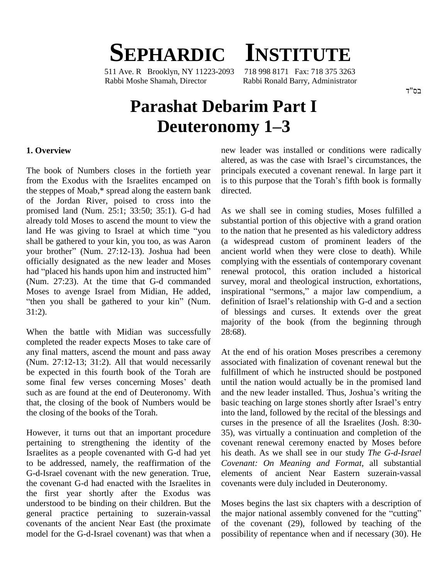## **SEPHARDIC INSTITUTE**

511 Ave. R Brooklyn, NY 11223-2093 718 998 8171 Fax: 718 375 3263 Rabbi Moshe Shamah, Director Rabbi Ronald Barry, Administrator

#### בס"ד

# **Parashat Debarim Part I** namah, Director Rabbi Ronald Barry, Administrator<br> **128 nati Debarim Part I**<br> **Deuteronomy 1–3**

#### **1. Overview**

The book of Numbers closes in the fortieth year the steppes of Moab,\* spread along the eastern bank of the Jordan River, poised to cross into the promised land (Num. 25:1; 33:50; 35:1). G-d had As we<br>already told Moses to ascend the mount to view the substa<br>land He was giving to Israel at which time "you to the already told Moses to ascend the mount to view the shall be gathered to your kin, you too, as was Aaron land He was giving to Israel at which time "you to the shall be gathered to your kin, you too, as was Aaron (a wi your brother" (Num. 27:12-13). Joshua had been ancien officially designated as the new leaderand Moses your brother" (Num. 27:12-13). Joshua had been ancie officially designated as the new leader and Moses comp<br>had "placed his hands upon him and instructed him" renew (Num. 27:23). At the time that G-d commanded Moses to avenge Israel from Midian, He added, 31:2).

When the battle with Midian was successfully completed the reader expects Moses to take care of any final matters, ascend the mount and pass away (Num. 27:12-13; 31:2). All that would necessarily be expected in this fourth book of the Torah are (Num. 27:12-13; 31:2). All that would necessarily associde expected in this fourth book of the Torah are fulfill some final few verses concerning Moses' death until t the closing of the books of the Torah.

However, it turns out that an important procedure pertaining to strengthening the identity of the Israelites as a people covenanted with G-d had yet to be addressed, namely, the reaffirmation of the G-d-Israel covenant with the new generation. True, the covenant G-d had enacted with the Israelites in the first year shortly after the Exodus was understood to be binding on their children. But the general practice pertaining to suzerain-vassal covenants of the ancient Near East (the proximate model for the G-d-Israel covenant) was that when a

from the Exodus with the Israelites encamped on is to this purpose that the Torah's fifth book is formally new leader was installed or conditions were radically new leader was installed or conditions were radically altered, as was the case with Israel's circumstances, the principals executed a covenant renewal. In large part it altered, as was the case with Israel's circumstances, the principals executed a covenant renewal. In large part it is to this purpose that the Torah's fifth book is formally directed.

"then you shall be gathered to your kin" (Num. definition of Israel's relationship with G-d and a section As we shall see in coming studies, Moses fulfilled a substantial portion of this objective with a grand oration to the nation that he presented as his valedictory address (a widespread custom of prominent leaders of the ancient world when they were close to death). While complying with the essentials of contemporary covenant renewal protocol, this oration included a historical survey, moral and theological instruction, exhortations, renewal protocol, this oration included a historical<br>survey, moral and theological instruction, exhortations,<br>inspirational "sermons," a major law compendium, a survey, moral and theological instruction, exhortations, inspirational "sermons," a major law compendium, a definition of Israel's relationship with G-d and a section of blessings and curses. It extends over the great majority of the book (from the beginning through 28:68).

such as are found at the end of Deuteronomy. With and the new leader installed. Thus, Joshua's writing the that, the closing of the book of Numbers would be At the end of his oration Moses prescribes a ceremony associated with finalization of covenant renewal but the fulfillment of which he instructed should be postponed until the nation would actually be in the promised land fulfillment of which he instructed should be postponed<br>until the nation would actually be in the promised land<br>and the new leader installed. Thus, Joshua's writing the until the nation would actually be in the promised land<br>and the new leader installed. Thus, Joshua's writing the<br>basic teaching on large stones shortly after Israel's entry into the land, followed by the recital of the blessings and curses in the presence of all the Israelites (Josh. 8:30- 35), was virtually a continuation and completion of the covenant renewal ceremony enacted by Moses before his death. As we shall see in our study *The G-d-Israel Covenant: On Meaning and Format*, all substantial elements of ancient Near Eastern suzerain-vassal covenants were duly included in Deuteronomy.

> Moses begins the last six chapters with a description of the major national assembly convened for the "cutting" of the covenant (29), followed by teaching of the possibility of repentance when and if necessary (30). He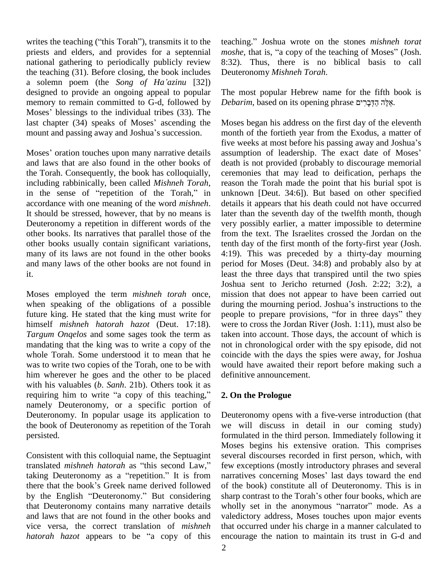writes the teaching ("this Torah"), transmits it to the priests and elders, and provides for a septennial national gathering to periodically publicly review 8:32). The teaching (31). Before closing, the book includes Deuteronc a solemn poem (the *Song of Ha'azinu* [32]) the teaching (31). Before closing, the book includes designed to provide an ongoing appeal to popular The memory to remain committed to G-d, followed by *Deba* Moses' blessings to the individual tribes (33). The memory to remain committed to G-d, followed by *Debar*<br>Moses' blessings to the individual tribes (33). The<br>last chapter (34) speaks of Moses' ascending the Moses Moses' blessings to the individual tribes (33). The last chapter (34) speaks of Moses' ascending the mount and passing away and Joshua's succession. mount and passing away and Joshua's succession. mon<br>five<br>Moses' oration touches upon many narrative details assu

and laws that are also found in the other books of the Torah. Consequently, the book has colloquially, including rabbinically, been called *Mishneh Torah*, in the sense of "repetition of the Torah," in accordance with one meaning of the word *mishneh*. It should be stressed, however, that by no means is Deuteronomy a repetition in different words of the other books. Its narratives that parallel those of the other books usually contain significant variations, many of its laws are not found in the other books and many laws of the other books are not found in it.

Moses employed the term *mishneh torah* once, himself *mishneh hatorah hazot* (Deut. 17:18). *Targum Onqelos* and some sages took the term as mandating that the king was to write a copy of the whole Torah. Some understood it to mean that he was to write two copies of the Torah, one to be with him wherever he goes and the other to be placed definit<br>with his valuables (*b. Sanh.* 21b). Others took it as<br>requiring him to write "a copy of this teaching," **2. On** with his valuables (*b*. *Sanh*. 21b). Others took it as namely Deuteronomy, or a specific portion of Deuteronomy. In popular usage its application to the book of Deuteronomy as repetition of the Torah persisted.

Consistent with this colloquial name, the Septuagint Mose<br>Consistent with this colloquial name, the Septuagint sever<br>translated *mishneh hatorah* as "this second Law," few e Consistent with this colloquial name, the Septuagint several distranslated *mishneh hatorah* as "this second Law," few exceptition.<sup>37</sup> It is from narratives of the matrix of the matrix of the matrix of the matrix of the m translated *mishneh hatorah* as "this second Law," few explanation for the that the book's Greek name derived followed of the taking Deuteronomy as a "repetition." It is from narrativelent there that the book's Greek name derived followed of the by the English "Deuteronomy." But considering sharp and laws that are not found in the other books and vice versa, the correct translation of *mishneh hatorah hazot* appears to be "a copy of this

teaching.<sup>î</sup> Joshua wrote on the stones *mishneh torat moshe*, that is, "a copy of the teaching of Moses" (Josh. 8:32). Thus, there is no biblical basis to call Deuteronomy *Mishneh Torah*.

The most popular Hebrew name for the fifth book is The most popular Hebrew name for the fifth book<br>*Debarim*, based on its opening phrase אֵלֶּה הַדְּבָרִים.

when speaking of the obligations of a possible during the mourning period. Joshua's instructions to the future king. He stated that the king must write for people to prepare provisions, "for in three days" they Moses began his address on the first day of the eleventh month of the fortieth year from the Exodus, a matter of Moses began his address on the first day of the eleventh<br>month of the fortieth year from the Exodus, a matter of<br>five weeks at most before his passing away and Joshua's month of the fortieth year from the Exodus, a matter of<br>five weeks at most before his passing away and Joshua's<br>assumption of leadership. The exact date of Moses' death is not provided (probably to discourage memorial ceremonies that may lead to deification, perhaps the reason the Torah made the point that his burial spot is unknown [Deut. 34:6]). But based on other specified details it appears that his death could not have occurred later than the seventh day of the twelfth month, though very possibly earlier, a matter impossible to determine from the text. The Israelites crossed the Jordan on the tenth day of the first month of the forty-first year (Josh. 4:19). This was preceded by a thirty-day mourning period for Moses (Deut. 34:8) and probably also by at least the three days that transpired until the two spies Joshua sent to Jericho returned (Josh. 2:22; 3:2), a mission that does not appear to have been carried out during the mourning period. Joshua's instructions to the mission that does not appear to have been carried out during the mourning period. Joshua's instructions to the people to prepare provisions, "for in three days" they were to cross the Jordan River (Josh. 1:11), must also be taken into account. Those days, the account of which is not in chronological order with the spy episode, did not coincide with the days the spies were away, for Joshua would have awaited their report before making such a definitive announcement.

### **2. On the Prologue**

that Deuteronomy contains many narrative details wholly set in the anonymous "narrator" mode. As a Deuteronomy opens with a five-verse introduction (that we will discuss in detail in our coming study) formulated in the third person. Immediately following it Moses begins his extensive oration. This comprises several discourses recorded in first person, which, with<br>few exceptions (mostly introductory phrases and several<br>narratives concerning Moses' last days toward the end few exceptions (mostly introductory phrases and several of the book) constitute all of Deuteronomy. This is in sharp contrast to the Torah's other four books, which are wholly set in the anonymous "narrator" mode. As a narratives concerning Moses' last days toward the end<br>of the book) constitute all of Deuteronomy. This is in<br>sharp contrast to the Torah's other four books, which are valedictory address, Moses touches upon major events that occurred under his charge in a manner calculated to encourage the nation to maintain its trust in G-d and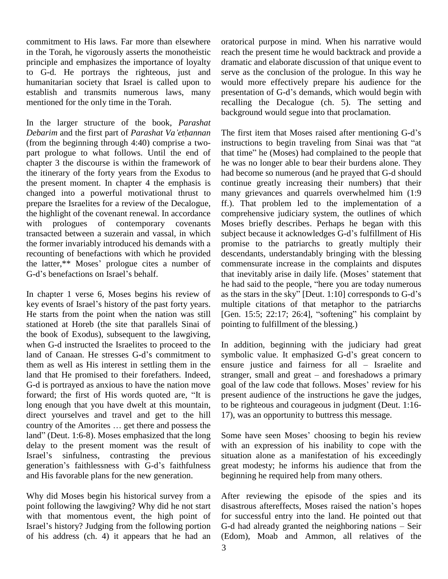commitment to His laws. Far more than elsewhere in the Torah, he vigorously asserts the monotheistic principle and emphasizes the importance of loyalty to G-d. He portrays the righteous, just and humanitarian society that Israel is called upon to establish and transmits numerous laws, many mentioned for the only time in the Torah.

In the larger structure of the book, *Parashat Debarim* and the first part of *Parashat Vaíethannan* chapter 3 the discourse is within the framework of the itinerary of the forty years from the Exodus to the present moment. In chapter 4 the emphasis is changed into a powerful motivational thrust to prepare the Israelites for a review of the Decalogue, the highlight of the covenant renewal. In accordance with prologues of contemporary covenants the former invariably introduced his demands with a prom<br>recounting of benefactions with which he provided desce<br>the latter,\*\* Moses' prologue cites a number of comr recounting of benefactions with which he provided descer<br>the latter,\*\* Moses' prologue cites a number of comm<br>G-d's benefactions on Israel's behalf. that in

In chapter 1 verse 6, Moses begins his review of as the s h<br>In chapter 1 verse 6, Moses begins his review of as<br>key events of Israel's history of the past forty years. stationed at Horeb (the site that parallels Sinai of the book of Exodus), subsequent to the lawgiving,<br>when G-d instructed the Israelites to proceed to the In add<br>land of Canaan. He stresses G-d's commitment to symbo when G-d instructed the Israelites to proceed to the them as well as His interest in settling them in the land that He promised to their forefathers. Indeed, strand-<br>G-d is portrayed as anxious to have the nation move goal<br>forward; the first of His words quoted are, "It is pres long enough that you have dwelt at this mountain, to be direct yourselves and travel and get to the hill 17), v country of the Amorites  $\dots$  get there and possess the direct yourselves and travel and get to the hill 17), w<br>country of the Amorites ... get there and possess the<br>land" (Deut. 1:6-8). Moses emphasized that the long Some delay to the present moment was the result of with<br>Israel's sinfulness, contrasting the previous situal<br>generation's faithlessness with G-d's faithfulness grea Iand" (Deut. 1:6-8). Moses emphasized that the long<br>delay to the present moment was the result of<br>Israel's sinfulness, contrasting the previous and His favorable plans for the new generation.

Why did Moses begin his historical survey from a point following the lawgiving? Why did he not start disasti<br>with that momentous event, the high point of for su<br>Israel's history? Judging from the following portion G-d h with that momentous event, the high point of of his address (ch. 4) it appears that he had an

oratorical purpose in mind. When his narrative would reach the present time he would backtrack and provide a dramatic and elaborate discussion of that unique event to serve as the conclusion of the prologue. In this way he would more effectively prepare his audience for the presentation of G-d's demands, which would begin with recalling the Decalogue (ch. 5). The setting and background would segue into that proclamation.

(from the beginning through 4:40) comprise a two part prologue to what follows. Until the end of that time" he (Moses) had complained to the people that transacted between a suzerain and vassal, in which He starts from the point when the nation was still [Gen. 15:5; 22:17; 26:4], "softening" his complaint by background would segue into that proclamation.<br>The first item that Moses raised after mentioning G-d's The first item that Moses raised after mentioning G-d's<br>instructions to begin traveling from Sinai was that "at The first item that Moses raised after mentioning G-d's<br>instructions to begin traveling from Sinai was that "at<br>that time" he (Moses) had complained to the people that he was no longer able to bear their burdens alone. They had become so numerous (and he prayed that G-d should continue greatly increasing their numbers) that their many grievances and quarrels overwhelmed him (1:9 ff.). That problem led to the implementation of a comprehensive judiciary system, the outlines of which<br>Moses briefly describes. Perhaps he began with this<br>subject because it acknowledges G-d's fulfillment of His Moses briefly describes. Perhaps he began with this promise to the patriarchs to greatly multiply their descendants, understandably bringing with the blessing commensurate increase in the complaints and disputes descendants, understandably bringing with the blessing<br>commensurate increase in the complaints and disputes<br>that inevitably arise in daily life. (Moses' statement that commensurate increase in the complaints and disputes<br>that inevitably arise in daily life. (Moses' statement that<br>he had said to the people, "here you are today numerous that inevitably arise in daily life. (Moses' statement that<br>he had said to the people, "here you are today numerous<br>as the stars in the sky" [Deut. 1:10] corresponds to G-d's multiple citations of that metaphor to the patriarchs as the stars in the sky" [Deut. 1:10] corresponds to G-d's<br>multiple citations of that metaphor to the patriarchs<br>[Gen. 15:5; 22:17; 26:4], "softening" his complaint by pointing to fulfillment of the blessing.)

G-d is portrayed as anxious to have the nation move goal of the law code that follows. Moses' review for his In addition, beginning with the judiciary had great In addition, beginning with the judiciary had great<br>symbolic value. It emphasized G-d's great concern to In addition, beginning with the judiciary had great<br>symbolic value. It emphasized G-d's great concern to<br>ensure justice and fairness for all – Israelite and symbolic value. It emphasized G-d's great concern to<br>ensure justice and fairness for all – Israelite and<br>stranger, small and great – and foreshadows a primary ensure justice and fairness for all – Israelite and stranger, small and great – and foreshadows a primary goal of the law code that follows. Moses' review for his present audience of the instructions he gave the judges, to be righteous and courageous in judgment (Deut. 1:16- 17), was an opportunity to buttress this message.

> Some have seen Moses' choosing to begin his review with an expression of his inability to cope with the situation alone as a manifestation of his exceedingly great modesty; he informs his audience that from the beginning he required help from many others.

After reviewing the episode of the spies and its After reviewing the episode of the spies and its<br>disastrous aftereffects, Moses raised the nation's hopes for successful entry into the land. He pointed out that disastrous aftereffects, Moses raised the nation's hopes<br>for successful entry into the land. He pointed out that<br>G-d had already granted the neighboring nations – Seir (Edom), Moab and Ammon, all relatives of the